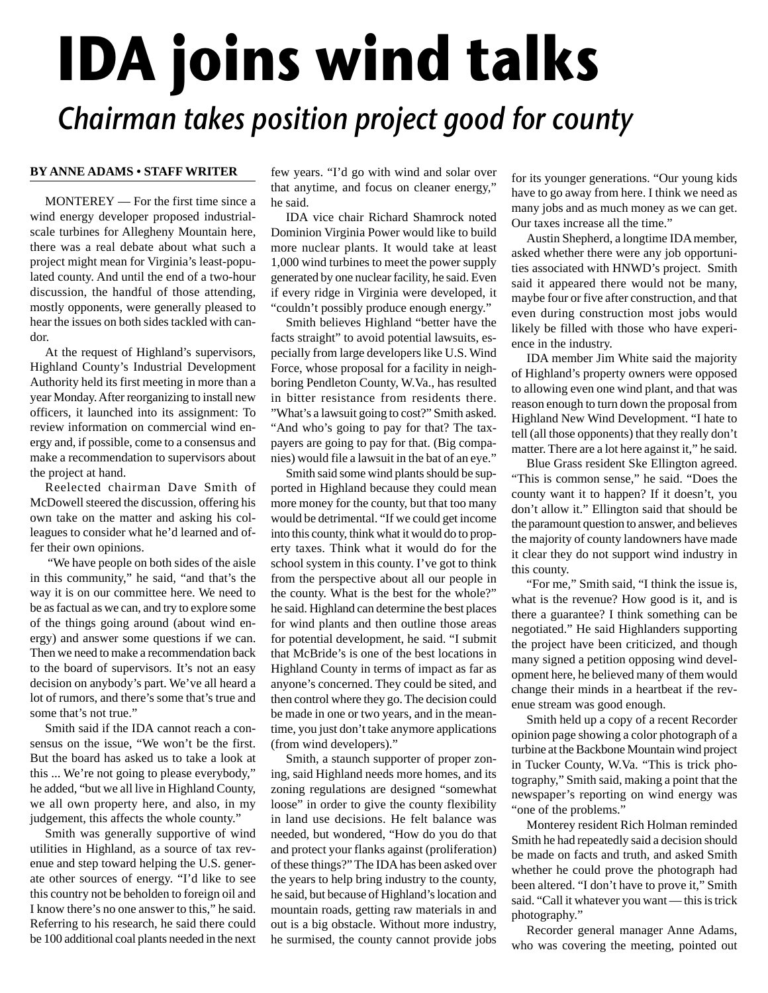## **IDA joins wind talks** Chairman takes position project good for county

## **BY ANNE ADAMS • STAFF WRITER**

MONTEREY — For the first time since a wind energy developer proposed industrialscale turbines for Allegheny Mountain here, there was a real debate about what such a project might mean for Virginia's least-populated county. And until the end of a two-hour discussion, the handful of those attending, mostly opponents, were generally pleased to hear the issues on both sides tackled with candor.

At the request of Highland's supervisors, Highland County's Industrial Development Authority held its first meeting in more than a year Monday. After reorganizing to install new officers, it launched into its assignment: To review information on commercial wind energy and, if possible, come to a consensus and make a recommendation to supervisors about the project at hand.

Reelected chairman Dave Smith of McDowell steered the discussion, offering his own take on the matter and asking his colleagues to consider what he'd learned and offer their own opinions.

"We have people on both sides of the aisle in this community," he said, "and that's the way it is on our committee here. We need to be as factual as we can, and try to explore some of the things going around (about wind energy) and answer some questions if we can. Then we need to make a recommendation back to the board of supervisors. It's not an easy decision on anybody's part. We've all heard a lot of rumors, and there's some that's true and some that's not true."

Smith said if the IDA cannot reach a consensus on the issue, "We won't be the first. But the board has asked us to take a look at this ... We're not going to please everybody," he added, "but we all live in Highland County, we all own property here, and also, in my judgement, this affects the whole county."

Smith was generally supportive of wind utilities in Highland, as a source of tax revenue and step toward helping the U.S. generate other sources of energy. "I'd like to see this country not be beholden to foreign oil and I know there's no one answer to this," he said. Referring to his research, he said there could be 100 additional coal plants needed in the next

few years. "I'd go with wind and solar over that anytime, and focus on cleaner energy," he said.

IDA vice chair Richard Shamrock noted Dominion Virginia Power would like to build more nuclear plants. It would take at least 1,000 wind turbines to meet the power supply generated by one nuclear facility, he said. Even if every ridge in Virginia were developed, it "couldn't possibly produce enough energy."

Smith believes Highland "better have the facts straight" to avoid potential lawsuits, especially from large developers like U.S. Wind Force, whose proposal for a facility in neighboring Pendleton County, W.Va., has resulted in bitter resistance from residents there. "What's a lawsuit going to cost?" Smith asked. "And who's going to pay for that? The taxpayers are going to pay for that. (Big companies) would file a lawsuit in the bat of an eye."

Smith said some wind plants should be supported in Highland because they could mean more money for the county, but that too many would be detrimental. "If we could get income into this county, think what it would do to property taxes. Think what it would do for the school system in this county. I've got to think from the perspective about all our people in the county. What is the best for the whole?" he said. Highland can determine the best places for wind plants and then outline those areas for potential development, he said. "I submit that McBride's is one of the best locations in Highland County in terms of impact as far as anyone's concerned. They could be sited, and then control where they go. The decision could be made in one or two years, and in the meantime, you just don't take anymore applications (from wind developers)."

Smith, a staunch supporter of proper zoning, said Highland needs more homes, and its zoning regulations are designed "somewhat loose" in order to give the county flexibility in land use decisions. He felt balance was needed, but wondered, "How do you do that and protect your flanks against (proliferation) of these things?" The IDA has been asked over the years to help bring industry to the county, he said, but because of Highland's location and mountain roads, getting raw materials in and out is a big obstacle. Without more industry, he surmised, the county cannot provide jobs

for its younger generations. "Our young kids have to go away from here. I think we need as many jobs and as much money as we can get. Our taxes increase all the time."

Austin Shepherd, a longtime IDA member, asked whether there were any job opportunities associated with HNWD's project. Smith said it appeared there would not be many, maybe four or five after construction, and that even during construction most jobs would likely be filled with those who have experience in the industry.

IDA member Jim White said the majority of Highland's property owners were opposed to allowing even one wind plant, and that was reason enough to turn down the proposal from Highland New Wind Development. "I hate to tell (all those opponents) that they really don't matter. There are a lot here against it," he said.

Blue Grass resident Ske Ellington agreed. "This is common sense," he said. "Does the county want it to happen? If it doesn't, you don't allow it." Ellington said that should be the paramount question to answer, and believes the majority of county landowners have made it clear they do not support wind industry in this county.

"For me," Smith said, "I think the issue is, what is the revenue? How good is it, and is there a guarantee? I think something can be negotiated." He said Highlanders supporting the project have been criticized, and though many signed a petition opposing wind development here, he believed many of them would change their minds in a heartbeat if the revenue stream was good enough.

Smith held up a copy of a recent Recorder opinion page showing a color photograph of a turbine at the Backbone Mountain wind project in Tucker County, W.Va. "This is trick photography," Smith said, making a point that the newspaper's reporting on wind energy was "one of the problems."

Monterey resident Rich Holman reminded Smith he had repeatedly said a decision should be made on facts and truth, and asked Smith whether he could prove the photograph had been altered. "I don't have to prove it," Smith said. "Call it whatever you want — this is trick photography."

Recorder general manager Anne Adams, who was covering the meeting, pointed out